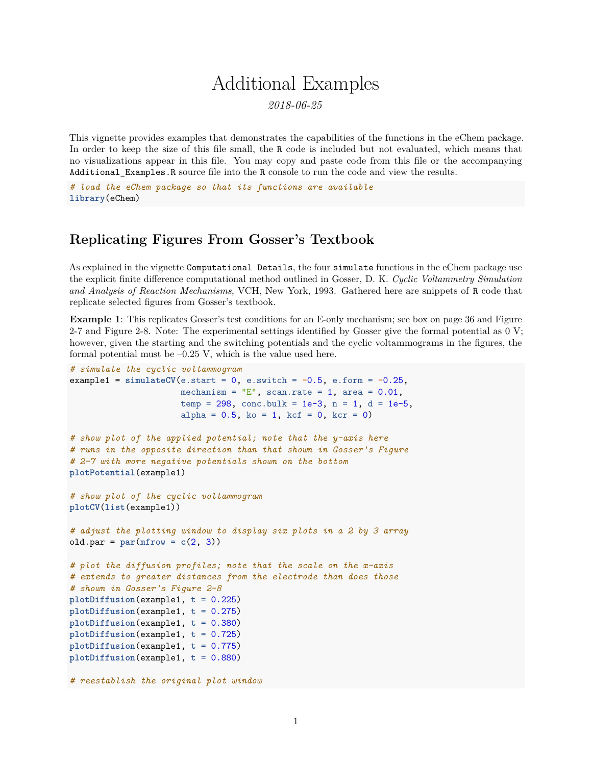# Additional Examples

*2018-06-25*

This vignette provides examples that demonstrates the capabilities of the functions in the eChem package. In order to keep the size of this file small, the R code is included but not evaluated, which means that no visualizations appear in this file. You may copy and paste code from this file or the accompanying Additional\_Examples.R source file into the R console to run the code and view the results.

*# load the eChem package so that its functions are available* **library**(eChem)

### **Replicating Figures From Gosser's Textbook**

As explained in the vignette Computational Details, the four simulate functions in the eChem package use the explicit finite difference computational method outlined in Gosser, D. K. *Cyclic Voltammetry Simulation and Analysis of Reaction Mechanisms*, VCH, New York, 1993. Gathered here are snippets of R code that replicate selected figures from Gosser's textbook.

**Example 1**: This replicates Gosser's test conditions for an E-only mechanism; see box on page 36 and Figure 2-7 and Figure 2-8. Note: The experimental settings identified by Gosser give the formal potential as 0 V; however, given the starting and the switching potentials and the cyclic voltammograms in the figures, the formal potential must be  $-0.25$  V, which is the value used here.

```
# simulate the cyclic voltammogram
example1 = \text{simulateCV}(e.\text{start} = 0, e.\text{switch} = -0.5, e.\text{form} = -0.25,mechanism = "E", scan.rate = 1, area = 0.01,
                      temp = 298, conc.bulk = 1e-3, n = 1, d = 1e-5,
                      alpha = 0.5, ko = 1, kcf = 0, kcr = 0)
# show plot of the applied potential; note that the y-axis here
# runs in the opposite direction than that shown in Gosser's Figure
# 2-7 with more negative potentials shown on the bottom
plotPotential(example1)
# show plot of the cyclic voltammogram
plotCV(list(example1))
# adjust the plotting window to display six plots in a 2 by 3 array
old.par = par(mfrow = c(2, 3))# plot the diffusion profiles; note that the scale on the x-axis
# extends to greater distances from the electrode than does those
# shown in Gosser's Figure 2-8
plotDiffusion(example1, t = 0.225)
plotDiffusion(example1, t = 0.275)
plotDiffusion(example1, t = 0.380)
plotDiffusion(example1, t = 0.725)
plotDiffusion(example1, t = 0.775)
plotDiffusion(example1, t = 0.880)
# reestablish the original plot window
```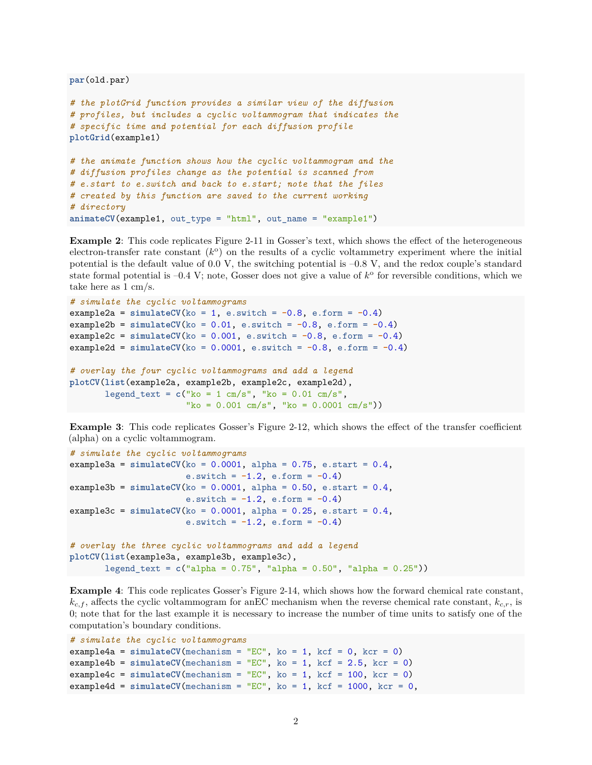**par**(old.par)

```
# the plotGrid function provides a similar view of the diffusion
# profiles, but includes a cyclic voltammogram that indicates the
# specific time and potential for each diffusion profile
plotGrid(example1)
# the animate function shows how the cyclic voltammogram and the
# diffusion profiles change as the potential is scanned from
# e.start to e.switch and back to e.start; note that the files
# created by this function are saved to the current working
# directory
animateCV(example1, out_type = "html", out_name = "example1")
```
**Example 2**: This code replicates Figure 2-11 in Gosser's text, which shows the effect of the heterogeneous  $\alpha$  electron-transfer rate constant  $(k^{\circ})$  on the results of a cyclic voltammetry experiment where the initial potential is the default value of 0.0 V, the switching potential is –0.8 V, and the redox couple's standard state formal potential is  $-0.4$  V; note, Gosser does not give a value of  $k^{\circ}$  for reversible conditions, which we take here as 1 cm/s.

```
# simulate the cyclic voltammograms
\text{example2a} = \text{simulateCV}(\text{ko} = 1, \text{ e.swith} = -0.8, \text{ e.form} = -0.4)\text{example2b} = \text{simulateCV}(\text{ko} = 0.01, \text{ e.s with } = -0.8, \text{ e.form} = -0.4)\text{example2c} = \text{simulateCV}(\text{ko} = 0.001, \text{ e.s with } = -0.8, \text{ e.form} = -0.4)example2d = \text{simulateCV}(\text{ko} = 0.0001, \text{ e.switch} = -0.8, \text{ e.form} = -0.4)# overlay the four cyclic voltammograms and add a legend
plotCV(list(example2a, example2b, example2c, example2d),
         legend_text = c("ko = 1 cm/s", "ko = 0.01 cm/s","ko = 0.001 cm/s", "ko = 0.0001 cm/s"))
```
**Example 3**: This code replicates Gosser's Figure 2-12, which shows the effect of the transfer coefficient (alpha) on a cyclic voltammogram.

```
# simulate the cyclic voltammograms
example3a = \text{simulateCV}(ko = 0.0001, alpha = 0.75, e.start = 0.4,
                       e.switch = -1.2, e.form = -0.4)
example3b = simulateCV(ko = 0.0001, alpha = 0.50, e.start = 0.4,e.switch = -1.2, e.form = -0.4)
example3c = simulateCV(ko = 0.0001, alpha = 0.25, e.start = 0.4,e.switch = -1.2, e.form = -0.4)
# overlay the three cyclic voltammograms and add a legend
plotCV(list(example3a, example3b, example3c),
       legend_text = c("alpha = 0.75", "alpha = 0.50", "alpha = 0.25"))
```
**Example 4**: This code replicates Gosser's Figure 2-14, which shows how the forward chemical rate constant, *kc,f* , affects the cyclic voltammogram for anEC mechanism when the reverse chemical rate constant, *kc,r*, is 0; note that for the last example it is necessary to increase the number of time units to satisfy one of the computation's boundary conditions.

```
# simulate the cyclic voltammograms
\text{example4a} = \text{simulateCV}(\text{mechanism} = "EC", \text{ko} = 1, \text{kcf} = 0, \text{kcr} = 0)\text{example4b} = \text{simulateCV}(\text{mechanism} = \text{''EC''}, \text{ko} = 1, \text{kcf} = 2.5, \text{kcr} = 0)\text{example4c} = \text{simulateCV}(\text{mechanism} = "EC", \text{ko} = 1, \text{kcf} = 100, \text{kcr} = 0)example4d = \text{simulateCV}(\text{mechanism} = "EC", \text{ko} = 1, \text{kcf} = 1000, \text{kcr} = 0,
```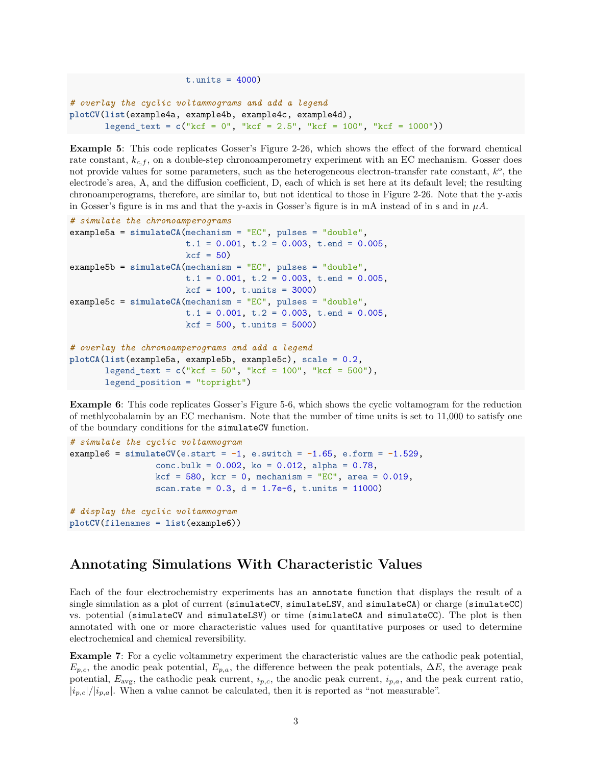```
t.units = 4000)
# overlay the cyclic voltammograms and add a legend
plotCV(list(example4a, example4b, example4c, example4d),
       legend_text = c("kcf = 0", "kcf = 2.5", "kcf = 100", "kcf = 1000"))
```
**Example 5**: This code replicates Gosser's Figure 2-26, which shows the effect of the forward chemical rate constant,  $k_{c,f}$ , on a double-step chronoamperometry experiment with an EC mechanism. Gosser does not provide values for some parameters, such as the heterogeneous electron-transfer rate constant,  $k^{\circ}$ , the electrode's area, A, and the diffusion coefficient, D, each of which is set here at its default level; the resulting chronoamperograms, therefore, are similar to, but not identical to those in Figure 2-26. Note that the y-axis in Gosser's figure is in ms and that the y-axis in Gosser's figure is in mA instead of in s and in  $\mu A$ .

```
# simulate the chronoamperograms
example5a = simulateCA(mechanism = "EC", pulses = "double",
                       t.1 = 0.001, t.2 = 0.003, t.end = 0.005,
                       kcf = 50example5b = simulateCA(mechanism = "EC", pulses = "double",
                       t.1 = 0.001, t.2 = 0.003, t.end = 0.005,
                       kcf = 100, t.units = 3000)
example5c = simulateCA(mechanism = "EC", pulses = "double",
                       t.1 = 0.001, t.2 = 0.003, t.end = 0.005,
                       kcf = 500, t.units = 5000# overlay the chronoamperograms and add a legend
plotCA(list(example5a, example5b, example5c), scale = 0.2,
       legend_text = c("kcf = 50", "kcf = 100", "kcf = 500"),
       legend_position = "topright")
```
**Example 6**: This code replicates Gosser's Figure 5-6, which shows the cyclic voltamogram for the reduction of methlycobalamin by an EC mechanism. Note that the number of time units is set to 11,000 to satisfy one of the boundary conditions for the simulateCV function.

```
# simulate the cyclic voltammogram
example6 = simulateCV(e.start = -1, e.switch = -1.65, e.form = -1.529,
                 conc.bulk = 0.002, ko = 0.012, alpha = 0.78,
                 kcf = 580, kcr = 0, mechanism = "EC", area = 0.019,
                 scan.rate = 0.3, d = 1.7e-6, t.units = 11000)
# display the cyclic voltammogram
plotCV(filenames = list(example6))
```
## **Annotating Simulations With Characteristic Values**

Each of the four electrochemistry experiments has an annotate function that displays the result of a single simulation as a plot of current (simulateCV, simulateLSV, and simulateCA) or charge (simulateCC) vs. potential (simulateCV and simulateLSV) or time (simulateCA and simulateCC). The plot is then annotated with one or more characteristic values used for quantitative purposes or used to determine electrochemical and chemical reversibility.

**Example 7**: For a cyclic voltammetry experiment the characteristic values are the cathodic peak potential,  $E_{p,c}$ , the anodic peak potential,  $E_{p,a}$ , the difference between the peak potentials,  $\Delta E$ , the average peak potential, *E*avg, the cathodic peak current, *ip,c*, the anodic peak current, *ip,a*, and the peak current ratio,  $|i_{p,c}|/|i_{p,a}|$ . When a value cannot be calculated, then it is reported as "not measurable".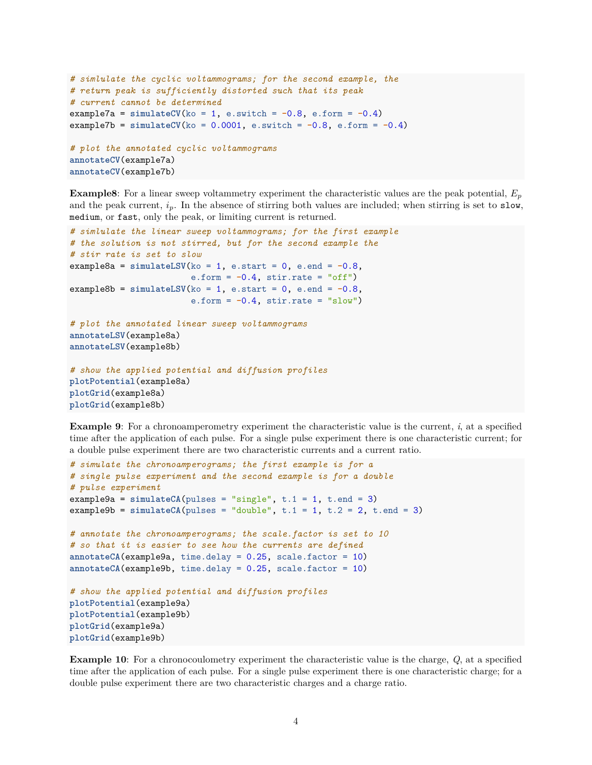```
# simlulate the cyclic voltammograms; for the second example, the
# return peak is sufficiently distorted such that its peak
# current cannot be determined
example7a = \text{simulateCV}(\text{ko} = 1, \text{ e.s with } = -0.8, \text{ e.form} = -0.4)example7b = simulateCV(ko = 0.0001, e.switch = -0.8, e.form = -0.4)
# plot the annotated cyclic voltammograms
annotateCV(example7a)
```
**annotateCV**(example7b)

**Example8**: For a linear sweep voltammetry experiment the characteristic values are the peak potential, *E<sup>p</sup>* and the peak current,  $i_p$ . In the absence of stirring both values are included; when stirring is set to slow, medium, or fast, only the peak, or limiting current is returned.

```
# simlulate the linear sweep voltammograms; for the first example
# the solution is not stirred, but for the second example the
# stir rate is set to slow
example8a = simulateLSV(ko = 1, e.start = 0, e.end = -0.8,e.form = -0.4, stir.rate = "off")
\text{example8b} = \text{simulatedSV}(\text{ko} = 1, \text{ e.start} = 0, \text{ e.end} = -0.8,e.form = -0.4, stir.rate = "slow")
# plot the annotated linear sweep voltammograms
annotateLSV(example8a)
annotateLSV(example8b)
```

```
# show the applied potential and diffusion profiles
plotPotential(example8a)
plotGrid(example8a)
plotGrid(example8b)
```
**Example 9**: For a chronoamperometry experiment the characteristic value is the current, *i*, at a specified time after the application of each pulse. For a single pulse experiment there is one characteristic current; for a double pulse experiment there are two characteristic currents and a current ratio.

```
# simulate the chronoamperograms; the first example is for a
# single pulse experiment and the second example is for a double
# pulse experiment
example9a = simulateCA(pulses = "single", t.1 = 1, t.end = 3)example9b = \text{simulateCA(pulses = "double", t.1 = 1, t.2 = 2, t.end = 3)}# annotate the chronoamperograms; the scale.factor is set to 10
# so that it is easier to see how the currents are defined
annotateCA(example9a, time.delay = 0.25, scale.factor = 10)
annotateCA(example9b, time.delay = 0.25, scale.factor = 10)
# show the applied potential and diffusion profiles
plotPotential(example9a)
plotPotential(example9b)
plotGrid(example9a)
plotGrid(example9b)
```
**Example 10**: For a chronocoulometry experiment the characteristic value is the charge, *Q*, at a specified time after the application of each pulse. For a single pulse experiment there is one characteristic charge; for a double pulse experiment there are two characteristic charges and a charge ratio.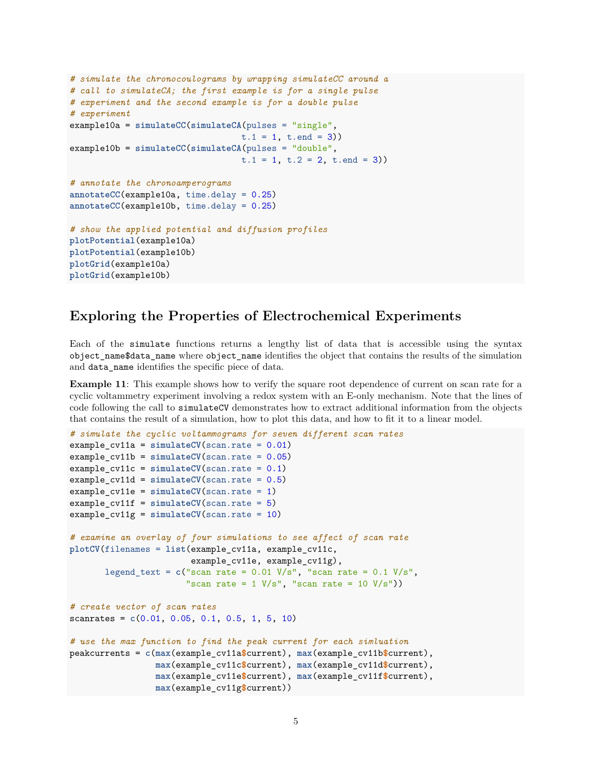```
# simulate the chronocoulograms by wrapping simulateCC around a
# call to simulateCA; the first example is for a single pulse
# experiment and the second example is for a double pulse
# experiment
example10a = simulateCC(simulateCA(pulses = "single",
                                  t.1 = 1, t.end = 3)
example10b = simulateCC(simulateCA(pulses = "double",
                                  t.1 = 1, t.2 = 2, t.end = 3)# annotate the chronoamperograms
annotateCC(example10a, time.delay = 0.25)
annotateCC(example10b, time.delay = 0.25)
# show the applied potential and diffusion profiles
plotPotential(example10a)
plotPotential(example10b)
plotGrid(example10a)
plotGrid(example10b)
```
#### **Exploring the Properties of Electrochemical Experiments**

Each of the simulate functions returns a lengthy list of data that is accessible using the syntax object\_name\$data\_name where object\_name identifies the object that contains the results of the simulation and data\_name identifies the specific piece of data.

**Example 11**: This example shows how to verify the square root dependence of current on scan rate for a cyclic voltammetry experiment involving a redox system with an E-only mechanism. Note that the lines of code following the call to simulateCV demonstrates how to extract additional information from the objects that contains the result of a simulation, how to plot this data, and how to fit it to a linear model.

```
# simulate the cyclic voltammograms for seven different scan rates
example_cv11a = simulateCV(scan.rate = 0.01)
example_cv11b = simulateCV(scan.rate = 0.05)
example_cv11c = simulateCV(scan.rate = 0.1)example_cv11d = simulateCV(scan.rate = 0.5)example_cv11e = simulateCV(scan.rate = 1)
example_cv11f = simulateCV(scan.rate = 5)
example_cv11g = simulateCV(scan.rate = 10)
# examine an overlay of four simulations to see affect of scan rate
plotCV(filenames = list(example_cv11a, example_cv11c,
                        example cv11e, example cv11g),
       legend_text = c("scan rate = 0.01 V/s", "scan rate = 0.1 V/s","scan rate = 1 \text{ V/s}", "scan rate = 10 \text{ V/s}"))
# create vector of scan rates
scanrates = c(0.01, 0.05, 0.1, 0.5, 1, 5, 10)
# use the max function to find the peak current for each simluation
peakcurrents = c(max(example_cv11a$current), max(example_cv11b$current),
                 max(example_cv11c$current), max(example_cv11d$current),
                 max(example_cv11e$current), max(example_cv11f$current),
                 max(example_cv11g$current))
```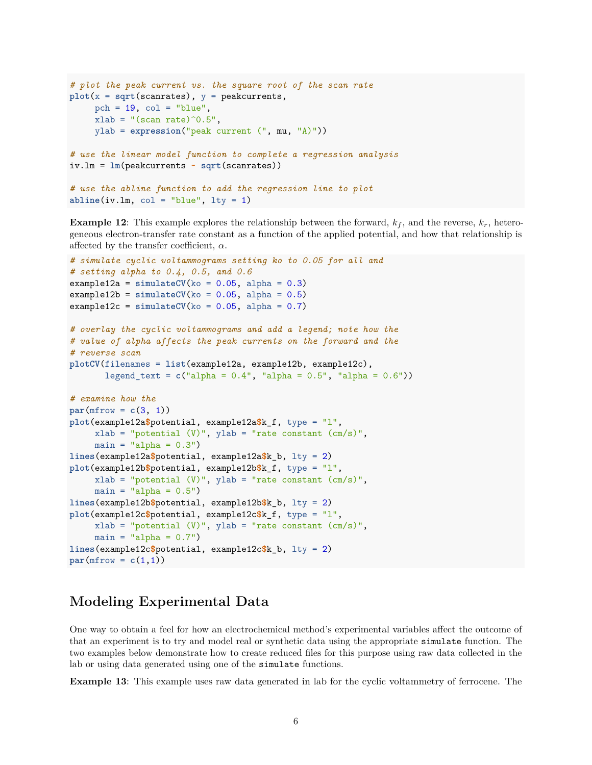```
# plot the peak current vs. the square root of the scan rate
plot(x = sqrt(scanrates), y = peakcurrents,pch = 19, col = "blue",
     xlab = "(\text{scan rate})^0.5",ylab = expression("peak current (", mu, "A)"))
# use the linear model function to complete a regression analysis
iv.lm = lm(peakcurrents ~ sqrt(scanrates))
# use the abline function to add the regression line to plot
```

```
abline(iv.lm, col = "blue", lty = 1)
```
**Example 12:** This example explores the relationship between the forward,  $k_f$ , and the reverse,  $k_r$ , heterogeneous electron-transfer rate constant as a function of the applied potential, and how that relationship is affected by the transfer coefficient, *α*.

```
# simulate cyclic voltammograms setting ko to 0.05 for all and
# setting alpha to 0.4, 0.5, and 0.6
\text{example12a} = \text{simulateCV}(\text{k0} = 0.05, \text{ alpha} = 0.3)\text{example12b} = \text{simulateCV}(\text{ko} = 0.05, \text{ alpha} = 0.5)example12c = simulateCV(ko = 0.05, alpha = 0.7)# overlay the cyclic voltammograms and add a legend; note how the
# value of alpha affects the peak currents on the forward and the
# reverse scan
plotCV(filenames = list(example12a, example12b, example12c),
       legend_text = c("alpha = 0.4", "alpha = 0.5", "alpha = 0.6"))
# examine how the
par(mfrow = c(3, 1))plot(example12a$potential, example12a$k_f, type = "l",
     xlab = "potential (V)", ylab = "rate constant (cm/s)",
     main = "alpha = 0.3")lines(example12a$potential, example12a$k_b, lty = 2)
plot(example12b$potential, example12b$k_f, type = "l",
     xlab = "potential (V)", ylab = "rate constant (cm/s)",
     main = "alpha = 0.5")lines(example12b$potential, example12b$k_b, lty = 2)
plot(example12c$potential, example12c$k_f, type = "l",
     xlab = "potential (V)", ylab = "rate constant (cm/s)",
     main = "alpha = 0.7")lines(example12c$potential, example12c$k_b, lty = 2)
par(mfrow = c(1,1))
```
# **Modeling Experimental Data**

One way to obtain a feel for how an electrochemical method's experimental variables affect the outcome of that an experiment is to try and model real or synthetic data using the appropriate simulate function. The two examples below demonstrate how to create reduced files for this purpose using raw data collected in the lab or using data generated using one of the simulate functions.

**Example 13**: This example uses raw data generated in lab for the cyclic voltammetry of ferrocene. The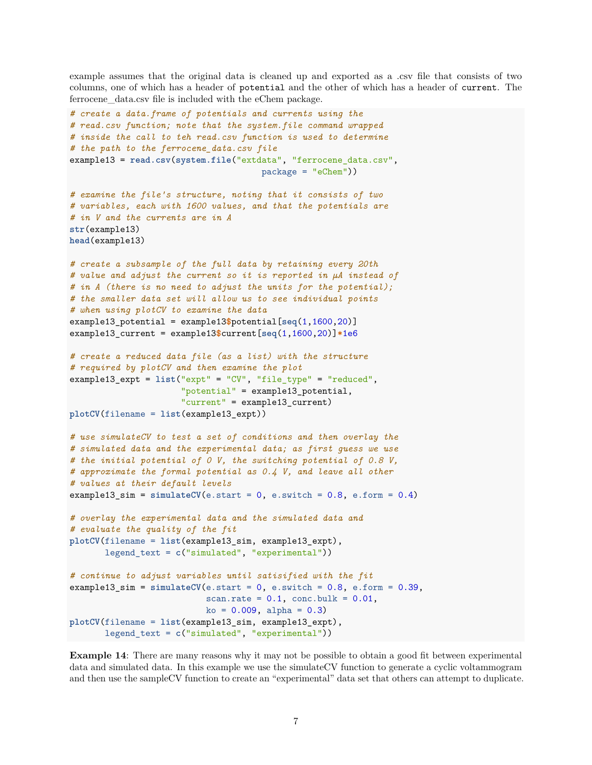example assumes that the original data is cleaned up and exported as a .csv file that consists of two columns, one of which has a header of potential and the other of which has a header of current. The ferrocene data.csv file is included with the eChem package.

```
# create a data.frame of potentials and currents using the
# read.csv function; note that the system.file command wrapped
# inside the call to teh read.csv function is used to determine
# the path to the ferrocene_data.csv file
example13 = read.csv(system.file("extdata", "ferrocene_data.csv",
                                      package = "eChem"))
# examine the file's structure, noting that it consists of two
# variables, each with 1600 values, and that the potentials are
# in V and the currents are in A
str(example13)
head(example13)
# create a subsample of the full data by retaining every 20th
# value and adjust the current so it is reported in µA instead of
# in A (there is no need to adjust the units for the potential);
# the smaller data set will allow us to see individual points
# when using plotCV to examine the data
example13_potential = example13$potential[seq(1,1600,20)]
example13_current = example13$current[seq(1,1600,20)]*1e6
# create a reduced data file (as a list) with the structure
# required by plotCV and then examine the plot
example13_expt = list("expt" = "CV", "file_type" = "reduced",
                      "potential" = example13_potential,
                      "current" = example13_current)
plotCV(filename = list(example13_expt))
# use simulateCV to test a set of conditions and then overlay the
# simulated data and the experimental data; as first guess we use
# the initial potential of 0 V, the switching potential of 0.8 V,
# approximate the formal potential as 0.4 V, and leave all other
# values at their default levels
example13_sim = simulateCV(e.start = 0, e.swith = 0.8, e.format = 0.4)# overlay the experimental data and the simulated data and
# evaluate the quality of the fit
plotCV(filename = list(example13_sim, example13_expt),
       legend_text = c("simulated", "experimental"))
# continue to adjust variables until satisified with the fit
example13_sim = simulateCV(e.start = 0, e.switch = 0.8, e.format = 0.39,scan.rate = 0.1, conc.bulk = 0.01,
                           ko = 0.009, alpha = 0.3)
plotCV(filename = list(example13_sim, example13_expt),
       legend_text = c("simulated", "experimental"))
```
**Example 14:** There are many reasons why it may not be possible to obtain a good fit between experimental data and simulated data. In this example we use the simulateCV function to generate a cyclic voltammogram and then use the sampleCV function to create an "experimental" data set that others can attempt to duplicate.